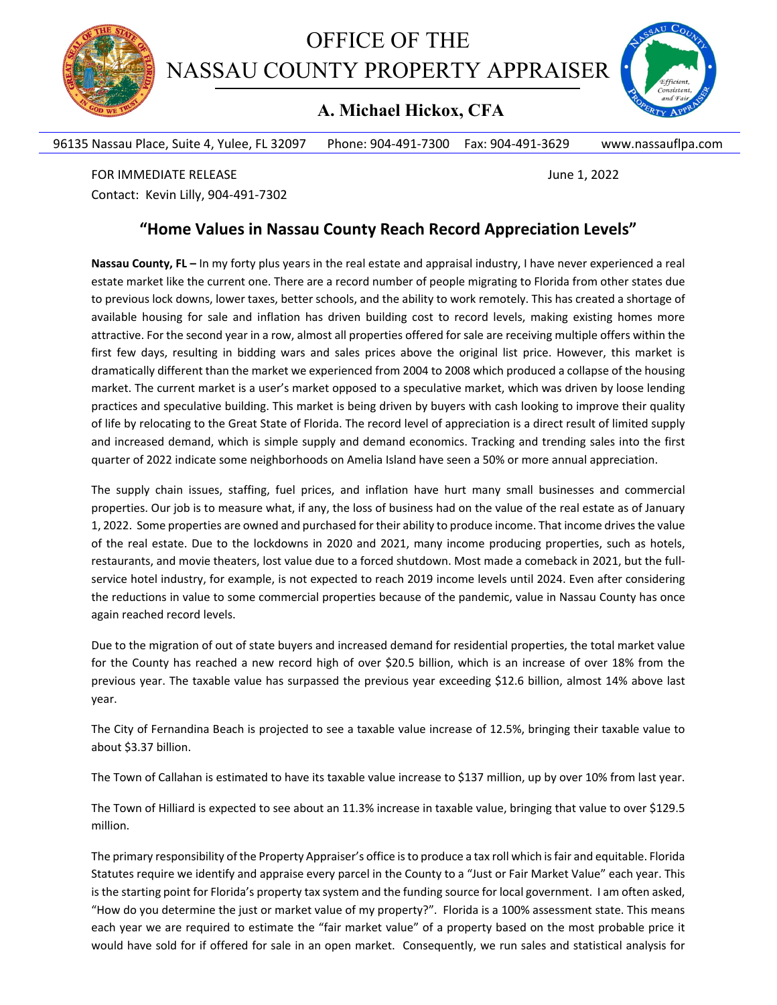

OFFICE OF THE NASSAU COUNTY PROPERTY APPRAISER

## **A. Michael Hickox, CFA**



96135 Nassau Place, Suite 4, Yulee, FL 32097 Phone: 904‐491‐7300 Fax: 904‐491‐3629 www.nassauflpa.com

FOR IMMEDIATE RELEASE *SECUREMENT SECUREMENT SECUREMENT SUITE SECUREMENT* **SECUREMENT SECUREMENT SECUREMENT SECUREMENT SECUREMENT SECUREMENT SECUREMENT SECUREMENT SECUREMENT SECUREMENT SECUREMENT SECUREMENT SECUREMENT** Contact: Kevin Lilly, 904‐491‐7302

## **"Home Values in Nassau County Reach Record Appreciation Levels"**

**Nassau County, FL –** In my forty plus years in the real estate and appraisal industry, I have never experienced a real estate market like the current one. There are a record number of people migrating to Florida from other states due to previous lock downs, lower taxes, better schools, and the ability to work remotely. This has created a shortage of available housing for sale and inflation has driven building cost to record levels, making existing homes more attractive. For the second year in a row, almost all properties offered for sale are receiving multiple offers within the first few days, resulting in bidding wars and sales prices above the original list price. However, this market is dramatically different than the market we experienced from 2004 to 2008 which produced a collapse of the housing market. The current market is a user's market opposed to a speculative market, which was driven by loose lending practices and speculative building. This market is being driven by buyers with cash looking to improve their quality of life by relocating to the Great State of Florida. The record level of appreciation is a direct result of limited supply and increased demand, which is simple supply and demand economics. Tracking and trending sales into the first quarter of 2022 indicate some neighborhoods on Amelia Island have seen a 50% or more annual appreciation.

The supply chain issues, staffing, fuel prices, and inflation have hurt many small businesses and commercial properties. Our job is to measure what, if any, the loss of business had on the value of the real estate as of January 1, 2022. Some properties are owned and purchased for their ability to produce income. That income drivesthe value of the real estate. Due to the lockdowns in 2020 and 2021, many income producing properties, such as hotels, restaurants, and movie theaters, lost value due to a forced shutdown. Most made a comeback in 2021, but the full‐ service hotel industry, for example, is not expected to reach 2019 income levels until 2024. Even after considering the reductions in value to some commercial properties because of the pandemic, value in Nassau County has once again reached record levels.

Due to the migration of out of state buyers and increased demand for residential properties, the total market value for the County has reached a new record high of over \$20.5 billion, which is an increase of over 18% from the previous year. The taxable value has surpassed the previous year exceeding \$12.6 billion, almost 14% above last year.

The City of Fernandina Beach is projected to see a taxable value increase of 12.5%, bringing their taxable value to about \$3.37 billion.

The Town of Callahan is estimated to have its taxable value increase to \$137 million, up by over 10% from last year.

The Town of Hilliard is expected to see about an 11.3% increase in taxable value, bringing that value to over \$129.5 million.

The primary responsibility of the Property Appraiser's office isto produce a tax roll which isfair and equitable. Florida Statutes require we identify and appraise every parcel in the County to a "Just or Fair Market Value" each year. This is the starting point for Florida's property tax system and the funding source for local government. I am often asked, "How do you determine the just or market value of my property?". Florida is a 100% assessment state. This means each year we are required to estimate the "fair market value" of a property based on the most probable price it would have sold for if offered for sale in an open market. Consequently, we run sales and statistical analysis for